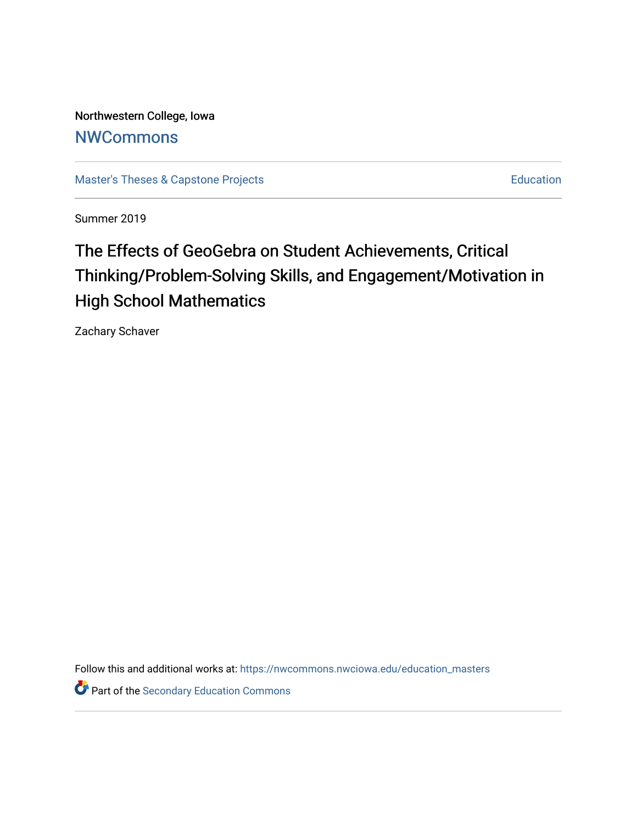Northwestern College, Iowa **[NWCommons](https://nwcommons.nwciowa.edu/)** 

[Master's Theses & Capstone Projects](https://nwcommons.nwciowa.edu/education_masters) **Education** Education

Summer 2019

# The Effects of GeoGebra on Student Achievements, Critical Thinking/Problem-Solving Skills, and Engagement/Motivation in High School Mathematics

Zachary Schaver

Follow this and additional works at: [https://nwcommons.nwciowa.edu/education\\_masters](https://nwcommons.nwciowa.edu/education_masters?utm_source=nwcommons.nwciowa.edu%2Feducation_masters%2F147&utm_medium=PDF&utm_campaign=PDFCoverPages)

Part of the [Secondary Education Commons](http://network.bepress.com/hgg/discipline/1382?utm_source=nwcommons.nwciowa.edu%2Feducation_masters%2F147&utm_medium=PDF&utm_campaign=PDFCoverPages)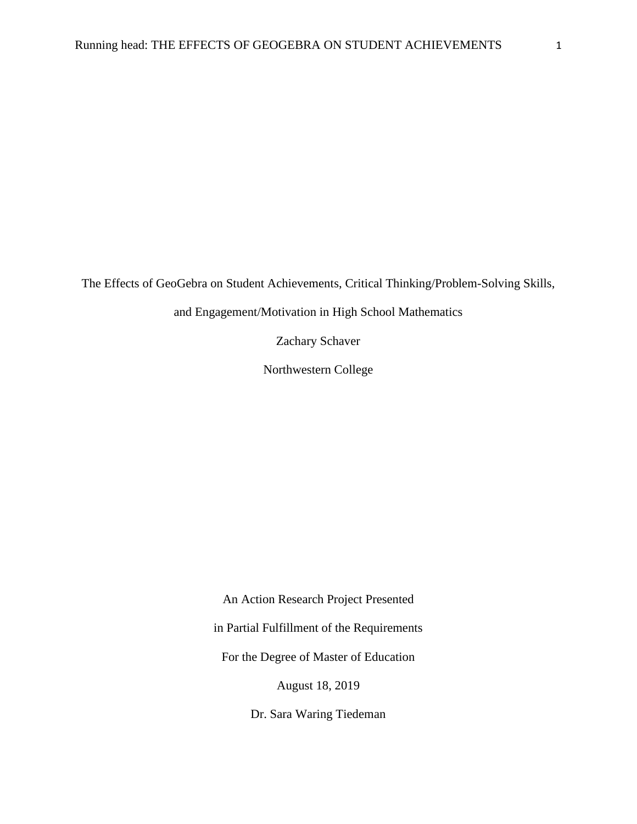The Effects of GeoGebra on Student Achievements, Critical Thinking/Problem-Solving Skills,

and Engagement/Motivation in High School Mathematics

Zachary Schaver

Northwestern College

An Action Research Project Presented in Partial Fulfillment of the Requirements For the Degree of Master of Education August 18, 2019

Dr. Sara Waring Tiedeman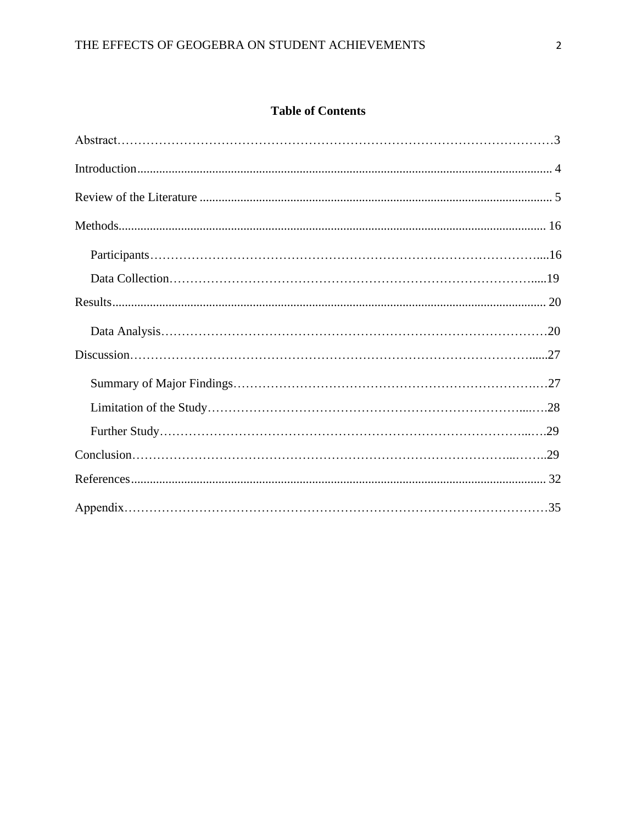# **Table of Contents**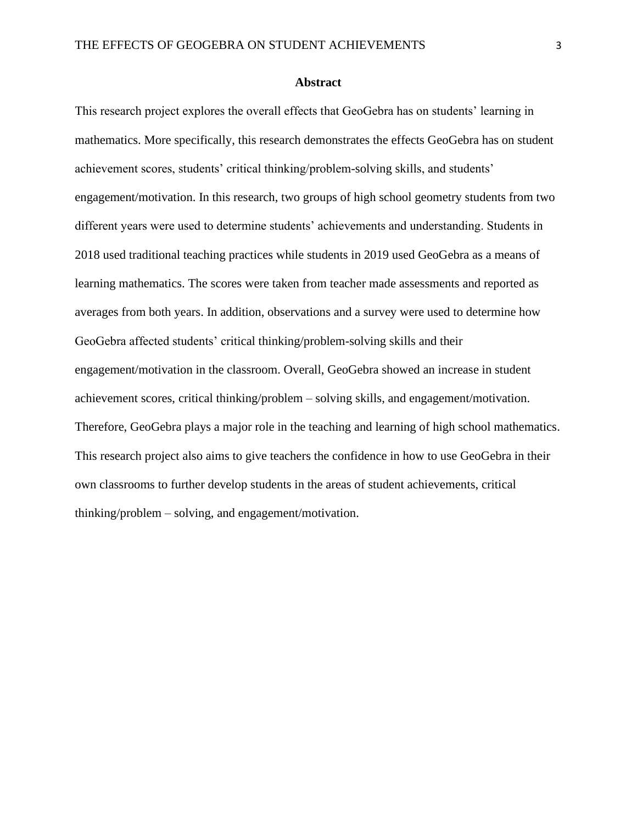## **Abstract**

This research project explores the overall effects that GeoGebra has on students' learning in mathematics. More specifically, this research demonstrates the effects GeoGebra has on student achievement scores, students' critical thinking/problem-solving skills, and students' engagement/motivation. In this research, two groups of high school geometry students from two different years were used to determine students' achievements and understanding. Students in 2018 used traditional teaching practices while students in 2019 used GeoGebra as a means of learning mathematics. The scores were taken from teacher made assessments and reported as averages from both years. In addition, observations and a survey were used to determine how GeoGebra affected students' critical thinking/problem-solving skills and their engagement/motivation in the classroom. Overall, GeoGebra showed an increase in student achievement scores, critical thinking/problem – solving skills, and engagement/motivation. Therefore, GeoGebra plays a major role in the teaching and learning of high school mathematics. This research project also aims to give teachers the confidence in how to use GeoGebra in their own classrooms to further develop students in the areas of student achievements, critical thinking/problem – solving, and engagement/motivation.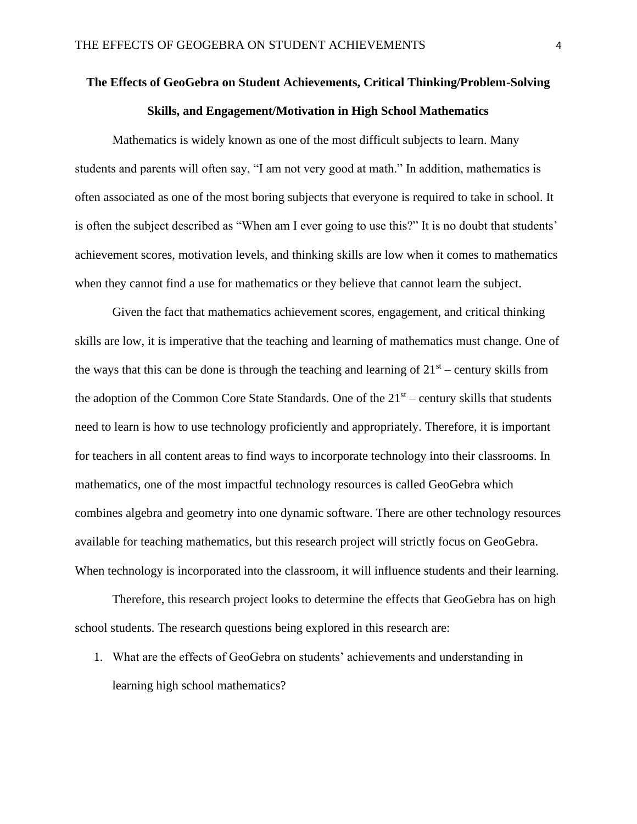# **The Effects of GeoGebra on Student Achievements, Critical Thinking/Problem-Solving Skills, and Engagement/Motivation in High School Mathematics**

Mathematics is widely known as one of the most difficult subjects to learn. Many students and parents will often say, "I am not very good at math." In addition, mathematics is often associated as one of the most boring subjects that everyone is required to take in school. It is often the subject described as "When am I ever going to use this?" It is no doubt that students' achievement scores, motivation levels, and thinking skills are low when it comes to mathematics when they cannot find a use for mathematics or they believe that cannot learn the subject.

Given the fact that mathematics achievement scores, engagement, and critical thinking skills are low, it is imperative that the teaching and learning of mathematics must change. One of the ways that this can be done is through the teaching and learning of  $21<sup>st</sup>$  – century skills from the adoption of the Common Core State Standards. One of the  $21<sup>st</sup>$  – century skills that students need to learn is how to use technology proficiently and appropriately. Therefore, it is important for teachers in all content areas to find ways to incorporate technology into their classrooms. In mathematics, one of the most impactful technology resources is called GeoGebra which combines algebra and geometry into one dynamic software. There are other technology resources available for teaching mathematics, but this research project will strictly focus on GeoGebra. When technology is incorporated into the classroom, it will influence students and their learning.

Therefore, this research project looks to determine the effects that GeoGebra has on high school students. The research questions being explored in this research are:

1. What are the effects of GeoGebra on students' achievements and understanding in learning high school mathematics?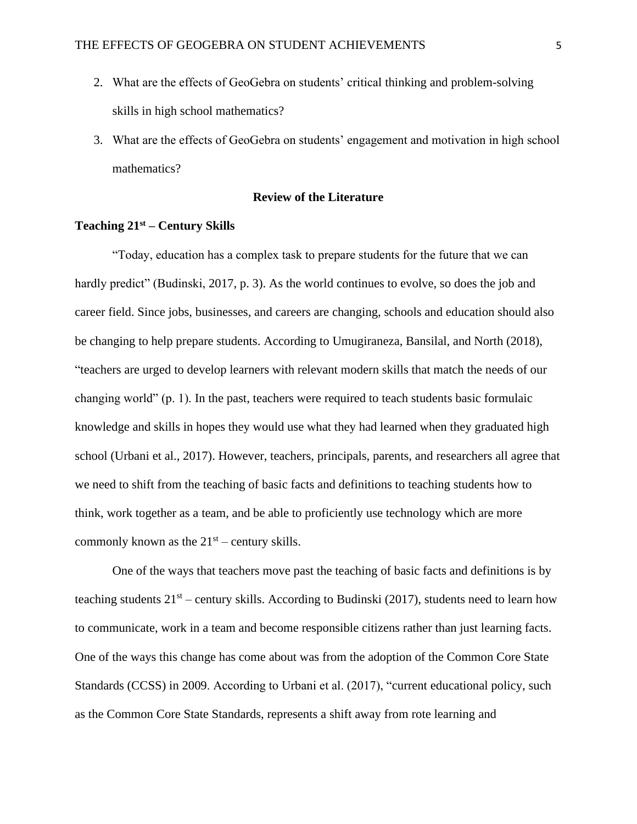- 2. What are the effects of GeoGebra on students' critical thinking and problem-solving skills in high school mathematics?
- 3. What are the effects of GeoGebra on students' engagement and motivation in high school mathematics?

## **Review of the Literature**

# **Teaching 21st – Century Skills**

"Today, education has a complex task to prepare students for the future that we can hardly predict" (Budinski, 2017, p. 3). As the world continues to evolve, so does the job and career field. Since jobs, businesses, and careers are changing, schools and education should also be changing to help prepare students. According to Umugiraneza, Bansilal, and North (2018), "teachers are urged to develop learners with relevant modern skills that match the needs of our changing world" (p. 1). In the past, teachers were required to teach students basic formulaic knowledge and skills in hopes they would use what they had learned when they graduated high school (Urbani et al., 2017). However, teachers, principals, parents, and researchers all agree that we need to shift from the teaching of basic facts and definitions to teaching students how to think, work together as a team, and be able to proficiently use technology which are more commonly known as the  $21<sup>st</sup>$  – century skills.

One of the ways that teachers move past the teaching of basic facts and definitions is by teaching students  $21<sup>st</sup>$  – century skills. According to Budinski (2017), students need to learn how to communicate, work in a team and become responsible citizens rather than just learning facts. One of the ways this change has come about was from the adoption of the Common Core State Standards (CCSS) in 2009. According to Urbani et al. (2017), "current educational policy, such as the Common Core State Standards, represents a shift away from rote learning and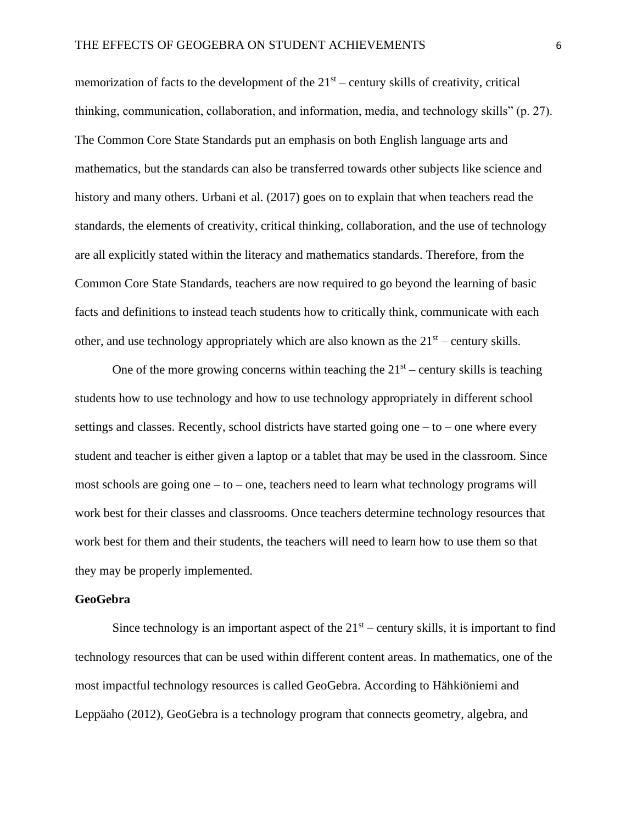memorization of facts to the development of the  $21<sup>st</sup>$  – century skills of creativity, critical thinking, communication, collaboration, and information, media, and technology skills" (p. 27). The Common Core State Standards put an emphasis on both English language arts and mathematics, but the standards can also be transferred towards other subjects like science and history and many others. Urbani et al. (2017) goes on to explain that when teachers read the standards, the elements of creativity, critical thinking, collaboration, and the use of technology are all explicitly stated within the literacy and mathematics standards. Therefore, from the Common Core State Standards, teachers are now required to go beyond the learning of basic facts and definitions to instead teach students how to critically think, communicate with each other, and use technology appropriately which are also known as the  $21<sup>st</sup>$  – century skills.

One of the more growing concerns within teaching the  $21<sup>st</sup>$  – century skills is teaching students how to use technology and how to use technology appropriately in different school settings and classes. Recently, school districts have started going one  $-$  to  $-$  one where every student and teacher is either given a laptop or a tablet that may be used in the classroom. Since most schools are going one – to – one, teachers need to learn what technology programs will work best for their classes and classrooms. Once teachers determine technology resources that work best for them and their students, the teachers will need to learn how to use them so that they may be properly implemented.

#### **GeoGebra**

Since technology is an important aspect of the  $21<sup>st</sup>$  – century skills, it is important to find technology resources that can be used within different content areas. In mathematics, one of the most impactful technology resources is called GeoGebra. According to Hähkiöniemi and Leppäaho (2012), GeoGebra is a technology program that connects geometry, algebra, and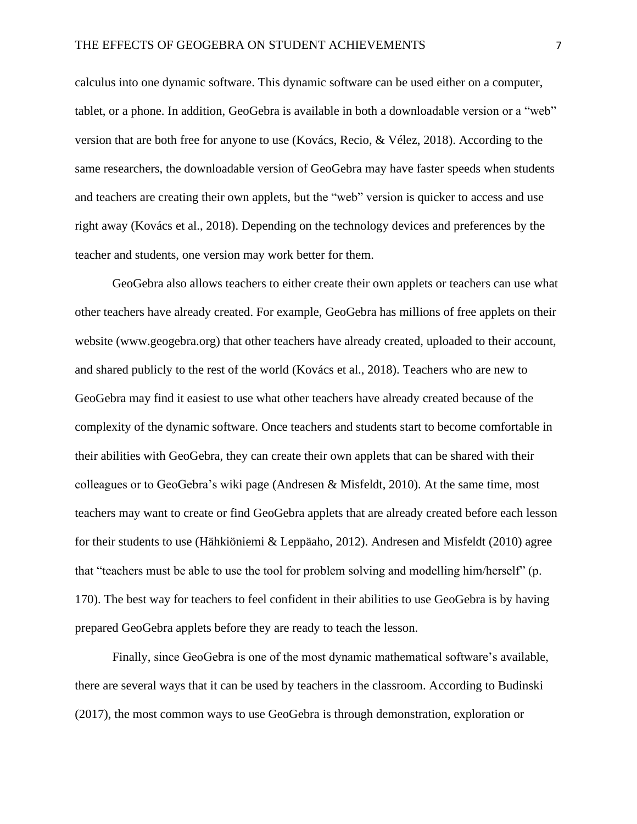calculus into one dynamic software. This dynamic software can be used either on a computer, tablet, or a phone. In addition, GeoGebra is available in both a downloadable version or a "web" version that are both free for anyone to use (Kovács, Recio, & Vélez, 2018). According to the same researchers, the downloadable version of GeoGebra may have faster speeds when students and teachers are creating their own applets, but the "web" version is quicker to access and use right away (Kovács et al., 2018). Depending on the technology devices and preferences by the teacher and students, one version may work better for them.

GeoGebra also allows teachers to either create their own applets or teachers can use what other teachers have already created. For example, GeoGebra has millions of free applets on their website (www.geogebra.org) that other teachers have already created, uploaded to their account, and shared publicly to the rest of the world (Kovács et al., 2018). Teachers who are new to GeoGebra may find it easiest to use what other teachers have already created because of the complexity of the dynamic software. Once teachers and students start to become comfortable in their abilities with GeoGebra, they can create their own applets that can be shared with their colleagues or to GeoGebra's wiki page (Andresen & Misfeldt, 2010). At the same time, most teachers may want to create or find GeoGebra applets that are already created before each lesson for their students to use (Hähkiöniemi & Leppäaho, 2012). Andresen and Misfeldt (2010) agree that "teachers must be able to use the tool for problem solving and modelling him/herself" (p. 170). The best way for teachers to feel confident in their abilities to use GeoGebra is by having prepared GeoGebra applets before they are ready to teach the lesson.

Finally, since GeoGebra is one of the most dynamic mathematical software's available, there are several ways that it can be used by teachers in the classroom. According to Budinski (2017), the most common ways to use GeoGebra is through demonstration, exploration or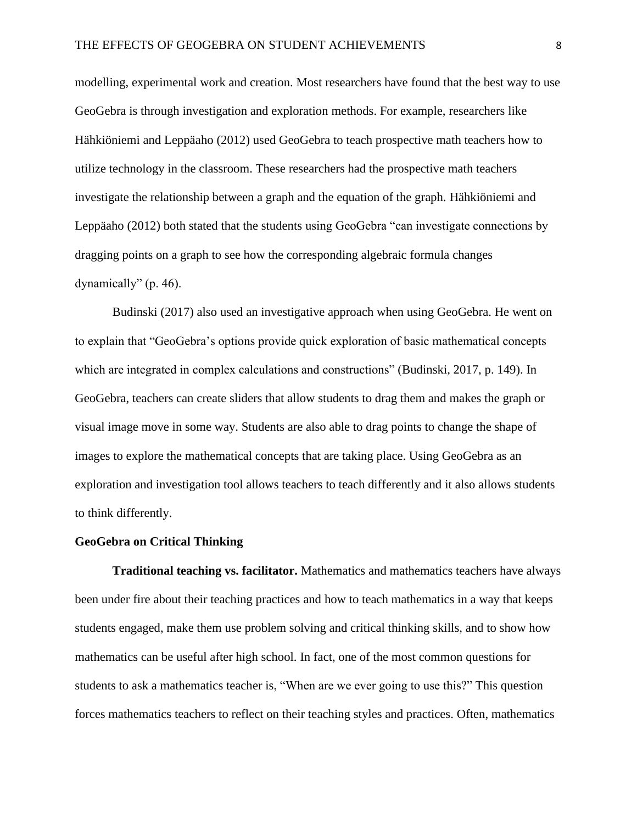modelling, experimental work and creation. Most researchers have found that the best way to use GeoGebra is through investigation and exploration methods. For example, researchers like Hähkiöniemi and Leppäaho (2012) used GeoGebra to teach prospective math teachers how to utilize technology in the classroom. These researchers had the prospective math teachers investigate the relationship between a graph and the equation of the graph. Hähkiöniemi and Leppäaho (2012) both stated that the students using GeoGebra "can investigate connections by dragging points on a graph to see how the corresponding algebraic formula changes dynamically" (p. 46).

Budinski (2017) also used an investigative approach when using GeoGebra. He went on to explain that "GeoGebra's options provide quick exploration of basic mathematical concepts which are integrated in complex calculations and constructions" (Budinski, 2017, p. 149). In GeoGebra, teachers can create sliders that allow students to drag them and makes the graph or visual image move in some way. Students are also able to drag points to change the shape of images to explore the mathematical concepts that are taking place. Using GeoGebra as an exploration and investigation tool allows teachers to teach differently and it also allows students to think differently.

## **GeoGebra on Critical Thinking**

**Traditional teaching vs. facilitator.** Mathematics and mathematics teachers have always been under fire about their teaching practices and how to teach mathematics in a way that keeps students engaged, make them use problem solving and critical thinking skills, and to show how mathematics can be useful after high school. In fact, one of the most common questions for students to ask a mathematics teacher is, "When are we ever going to use this?" This question forces mathematics teachers to reflect on their teaching styles and practices. Often, mathematics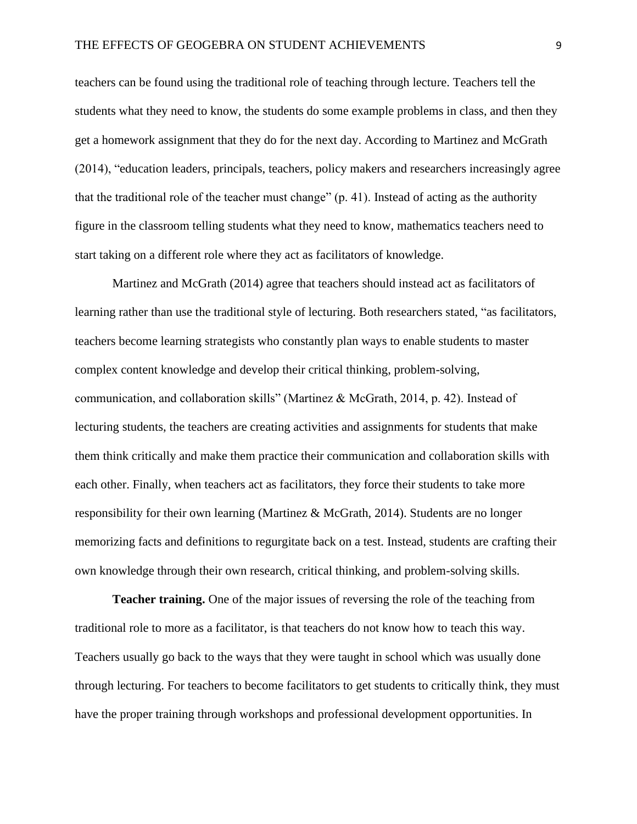teachers can be found using the traditional role of teaching through lecture. Teachers tell the students what they need to know, the students do some example problems in class, and then they get a homework assignment that they do for the next day. According to Martinez and McGrath (2014), "education leaders, principals, teachers, policy makers and researchers increasingly agree that the traditional role of the teacher must change" (p. 41). Instead of acting as the authority figure in the classroom telling students what they need to know, mathematics teachers need to start taking on a different role where they act as facilitators of knowledge.

Martinez and McGrath (2014) agree that teachers should instead act as facilitators of learning rather than use the traditional style of lecturing. Both researchers stated, "as facilitators, teachers become learning strategists who constantly plan ways to enable students to master complex content knowledge and develop their critical thinking, problem-solving, communication, and collaboration skills" (Martinez & McGrath, 2014, p. 42). Instead of lecturing students, the teachers are creating activities and assignments for students that make them think critically and make them practice their communication and collaboration skills with each other. Finally, when teachers act as facilitators, they force their students to take more responsibility for their own learning (Martinez & McGrath, 2014). Students are no longer memorizing facts and definitions to regurgitate back on a test. Instead, students are crafting their own knowledge through their own research, critical thinking, and problem-solving skills.

**Teacher training.** One of the major issues of reversing the role of the teaching from traditional role to more as a facilitator, is that teachers do not know how to teach this way. Teachers usually go back to the ways that they were taught in school which was usually done through lecturing. For teachers to become facilitators to get students to critically think, they must have the proper training through workshops and professional development opportunities. In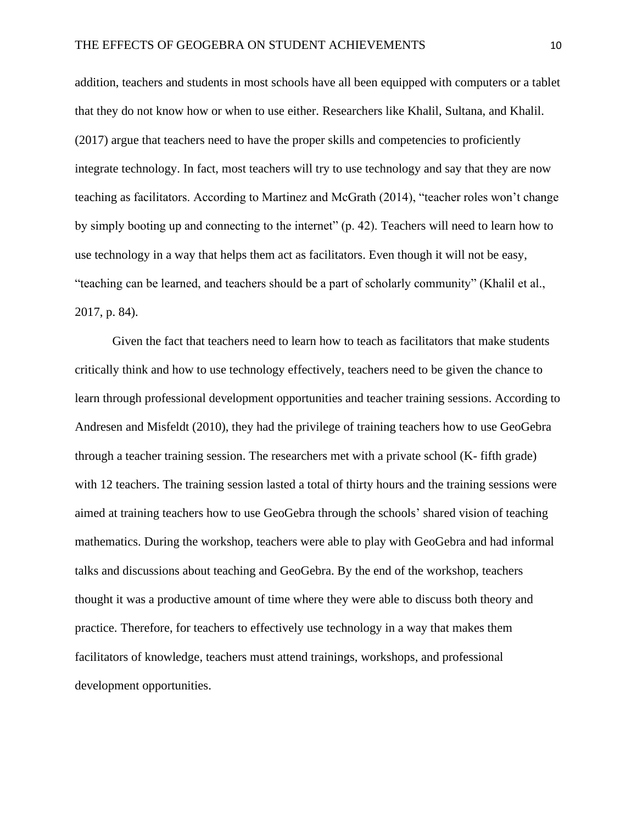addition, teachers and students in most schools have all been equipped with computers or a tablet that they do not know how or when to use either. Researchers like Khalil, Sultana, and Khalil. (2017) argue that teachers need to have the proper skills and competencies to proficiently integrate technology. In fact, most teachers will try to use technology and say that they are now teaching as facilitators. According to Martinez and McGrath (2014), "teacher roles won't change by simply booting up and connecting to the internet" (p. 42). Teachers will need to learn how to use technology in a way that helps them act as facilitators. Even though it will not be easy, "teaching can be learned, and teachers should be a part of scholarly community" (Khalil et al., 2017, p. 84).

Given the fact that teachers need to learn how to teach as facilitators that make students critically think and how to use technology effectively, teachers need to be given the chance to learn through professional development opportunities and teacher training sessions. According to Andresen and Misfeldt (2010), they had the privilege of training teachers how to use GeoGebra through a teacher training session. The researchers met with a private school (K- fifth grade) with 12 teachers. The training session lasted a total of thirty hours and the training sessions were aimed at training teachers how to use GeoGebra through the schools' shared vision of teaching mathematics. During the workshop, teachers were able to play with GeoGebra and had informal talks and discussions about teaching and GeoGebra. By the end of the workshop, teachers thought it was a productive amount of time where they were able to discuss both theory and practice. Therefore, for teachers to effectively use technology in a way that makes them facilitators of knowledge, teachers must attend trainings, workshops, and professional development opportunities.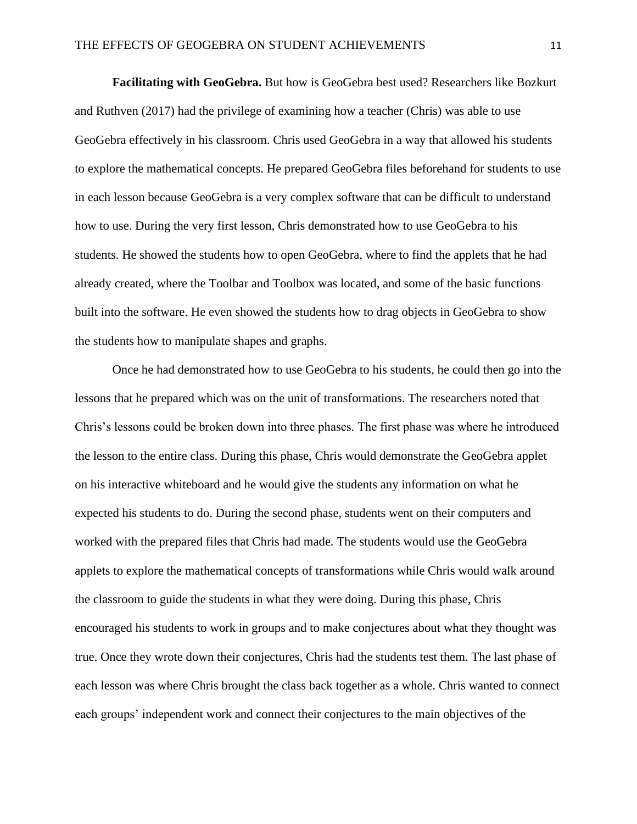**Facilitating with GeoGebra.** But how is GeoGebra best used? Researchers like Bozkurt and Ruthven (2017) had the privilege of examining how a teacher (Chris) was able to use GeoGebra effectively in his classroom. Chris used GeoGebra in a way that allowed his students to explore the mathematical concepts. He prepared GeoGebra files beforehand for students to use in each lesson because GeoGebra is a very complex software that can be difficult to understand how to use. During the very first lesson, Chris demonstrated how to use GeoGebra to his students. He showed the students how to open GeoGebra, where to find the applets that he had already created, where the Toolbar and Toolbox was located, and some of the basic functions built into the software. He even showed the students how to drag objects in GeoGebra to show the students how to manipulate shapes and graphs.

Once he had demonstrated how to use GeoGebra to his students, he could then go into the lessons that he prepared which was on the unit of transformations. The researchers noted that Chris's lessons could be broken down into three phases. The first phase was where he introduced the lesson to the entire class. During this phase, Chris would demonstrate the GeoGebra applet on his interactive whiteboard and he would give the students any information on what he expected his students to do. During the second phase, students went on their computers and worked with the prepared files that Chris had made. The students would use the GeoGebra applets to explore the mathematical concepts of transformations while Chris would walk around the classroom to guide the students in what they were doing. During this phase, Chris encouraged his students to work in groups and to make conjectures about what they thought was true. Once they wrote down their conjectures, Chris had the students test them. The last phase of each lesson was where Chris brought the class back together as a whole. Chris wanted to connect each groups' independent work and connect their conjectures to the main objectives of the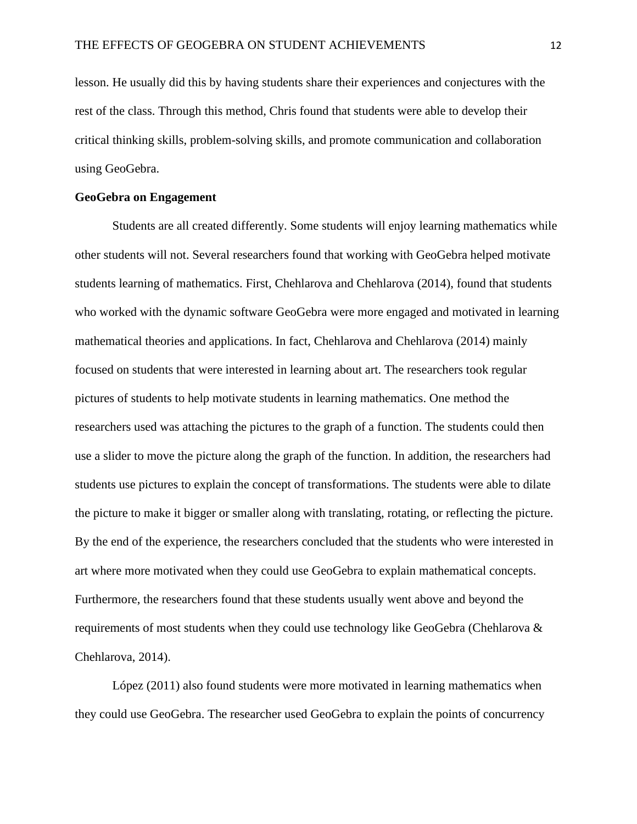lesson. He usually did this by having students share their experiences and conjectures with the rest of the class. Through this method, Chris found that students were able to develop their critical thinking skills, problem-solving skills, and promote communication and collaboration using GeoGebra.

## **GeoGebra on Engagement**

Students are all created differently. Some students will enjoy learning mathematics while other students will not. Several researchers found that working with GeoGebra helped motivate students learning of mathematics. First, Chehlarova and Chehlarova (2014), found that students who worked with the dynamic software GeoGebra were more engaged and motivated in learning mathematical theories and applications. In fact, Chehlarova and Chehlarova (2014) mainly focused on students that were interested in learning about art. The researchers took regular pictures of students to help motivate students in learning mathematics. One method the researchers used was attaching the pictures to the graph of a function. The students could then use a slider to move the picture along the graph of the function. In addition, the researchers had students use pictures to explain the concept of transformations. The students were able to dilate the picture to make it bigger or smaller along with translating, rotating, or reflecting the picture. By the end of the experience, the researchers concluded that the students who were interested in art where more motivated when they could use GeoGebra to explain mathematical concepts. Furthermore, the researchers found that these students usually went above and beyond the requirements of most students when they could use technology like GeoGebra (Chehlarova & Chehlarova, 2014).

López (2011) also found students were more motivated in learning mathematics when they could use GeoGebra. The researcher used GeoGebra to explain the points of concurrency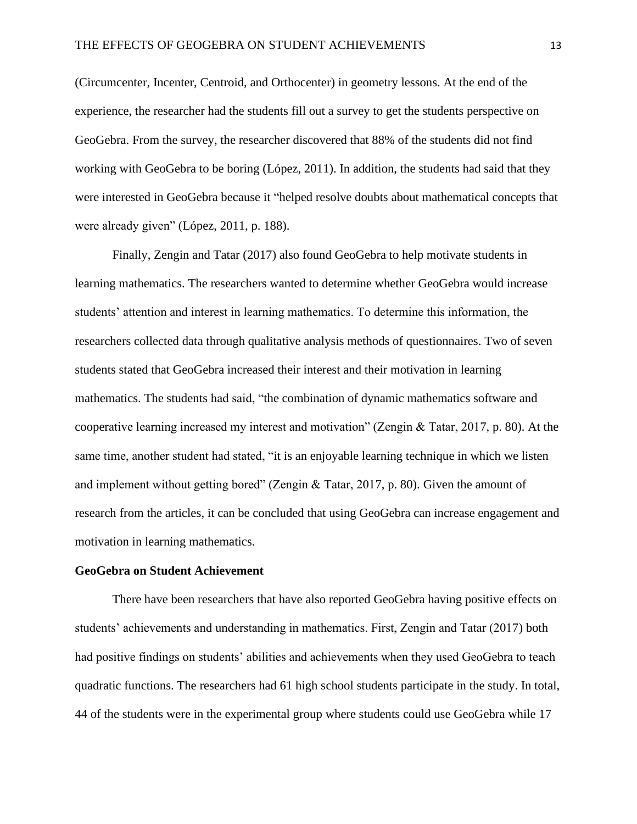(Circumcenter, Incenter, Centroid, and Orthocenter) in geometry lessons. At the end of the experience, the researcher had the students fill out a survey to get the students perspective on GeoGebra. From the survey, the researcher discovered that 88% of the students did not find working with GeoGebra to be boring (López, 2011). In addition, the students had said that they were interested in GeoGebra because it "helped resolve doubts about mathematical concepts that were already given" (López, 2011, p. 188).

Finally, Zengin and Tatar (2017) also found GeoGebra to help motivate students in learning mathematics. The researchers wanted to determine whether GeoGebra would increase students' attention and interest in learning mathematics. To determine this information, the researchers collected data through qualitative analysis methods of questionnaires. Two of seven students stated that GeoGebra increased their interest and their motivation in learning mathematics. The students had said, "the combination of dynamic mathematics software and cooperative learning increased my interest and motivation" (Zengin & Tatar, 2017, p. 80). At the same time, another student had stated, "it is an enjoyable learning technique in which we listen and implement without getting bored" (Zengin & Tatar, 2017, p. 80). Given the amount of research from the articles, it can be concluded that using GeoGebra can increase engagement and motivation in learning mathematics.

## **GeoGebra on Student Achievement**

There have been researchers that have also reported GeoGebra having positive effects on students' achievements and understanding in mathematics. First, Zengin and Tatar (2017) both had positive findings on students' abilities and achievements when they used GeoGebra to teach quadratic functions. The researchers had 61 high school students participate in the study. In total, 44 of the students were in the experimental group where students could use GeoGebra while 17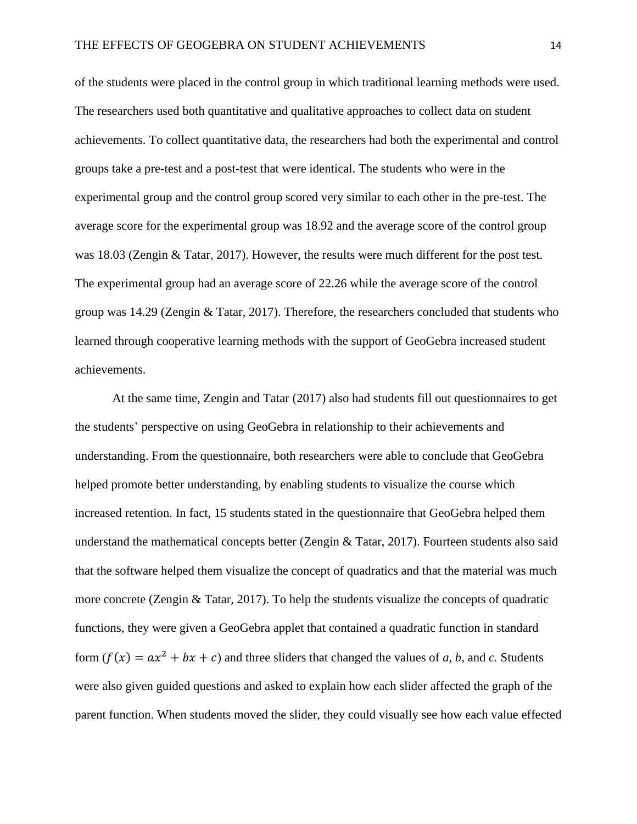of the students were placed in the control group in which traditional learning methods were used. The researchers used both quantitative and qualitative approaches to collect data on student achievements. To collect quantitative data, the researchers had both the experimental and control groups take a pre-test and a post-test that were identical. The students who were in the experimental group and the control group scored very similar to each other in the pre-test. The average score for the experimental group was 18.92 and the average score of the control group was 18.03 (Zengin & Tatar, 2017). However, the results were much different for the post test. The experimental group had an average score of 22.26 while the average score of the control group was 14.29 (Zengin & Tatar, 2017). Therefore, the researchers concluded that students who learned through cooperative learning methods with the support of GeoGebra increased student achievements.

At the same time, Zengin and Tatar (2017) also had students fill out questionnaires to get the students' perspective on using GeoGebra in relationship to their achievements and understanding. From the questionnaire, both researchers were able to conclude that GeoGebra helped promote better understanding, by enabling students to visualize the course which increased retention. In fact, 15 students stated in the questionnaire that GeoGebra helped them understand the mathematical concepts better (Zengin  $&$  Tatar, 2017). Fourteen students also said that the software helped them visualize the concept of quadratics and that the material was much more concrete (Zengin & Tatar, 2017). To help the students visualize the concepts of quadratic functions, they were given a GeoGebra applet that contained a quadratic function in standard form  $(f(x) = ax^2 + bx + c)$  and three sliders that changed the values of *a*, *b*, and *c*. Students were also given guided questions and asked to explain how each slider affected the graph of the parent function. When students moved the slider, they could visually see how each value effected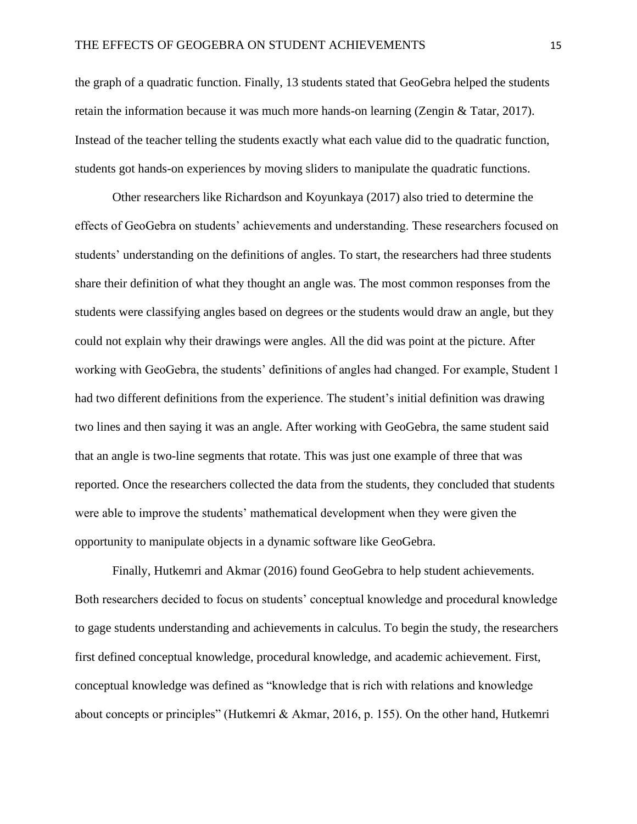the graph of a quadratic function. Finally, 13 students stated that GeoGebra helped the students retain the information because it was much more hands-on learning (Zengin & Tatar, 2017). Instead of the teacher telling the students exactly what each value did to the quadratic function, students got hands-on experiences by moving sliders to manipulate the quadratic functions.

Other researchers like Richardson and Koyunkaya (2017) also tried to determine the effects of GeoGebra on students' achievements and understanding. These researchers focused on students' understanding on the definitions of angles. To start, the researchers had three students share their definition of what they thought an angle was. The most common responses from the students were classifying angles based on degrees or the students would draw an angle, but they could not explain why their drawings were angles. All the did was point at the picture. After working with GeoGebra, the students' definitions of angles had changed. For example, Student 1 had two different definitions from the experience. The student's initial definition was drawing two lines and then saying it was an angle. After working with GeoGebra, the same student said that an angle is two-line segments that rotate. This was just one example of three that was reported. Once the researchers collected the data from the students, they concluded that students were able to improve the students' mathematical development when they were given the opportunity to manipulate objects in a dynamic software like GeoGebra.

Finally, Hutkemri and Akmar (2016) found GeoGebra to help student achievements. Both researchers decided to focus on students' conceptual knowledge and procedural knowledge to gage students understanding and achievements in calculus. To begin the study, the researchers first defined conceptual knowledge, procedural knowledge, and academic achievement. First, conceptual knowledge was defined as "knowledge that is rich with relations and knowledge about concepts or principles" (Hutkemri & Akmar, 2016, p. 155). On the other hand, Hutkemri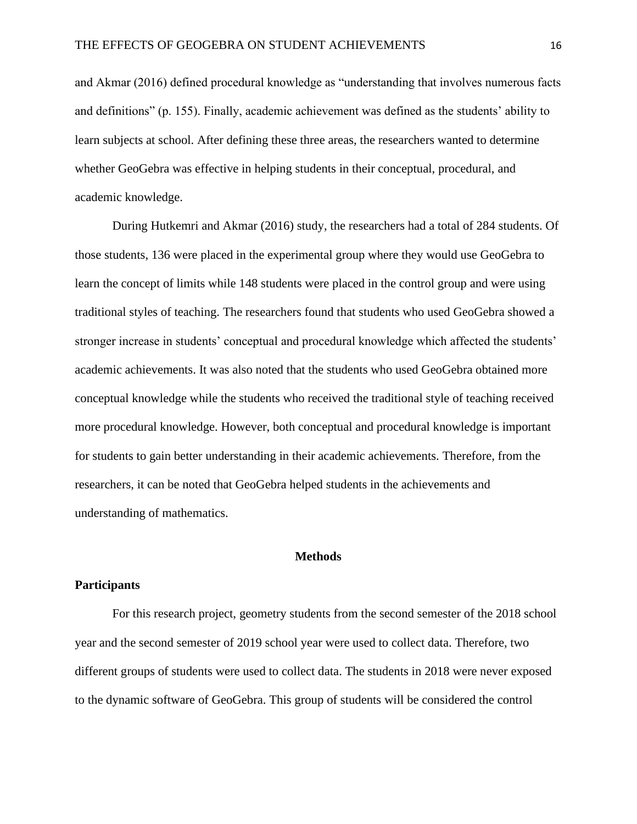and Akmar (2016) defined procedural knowledge as "understanding that involves numerous facts and definitions" (p. 155). Finally, academic achievement was defined as the students' ability to learn subjects at school. After defining these three areas, the researchers wanted to determine whether GeoGebra was effective in helping students in their conceptual, procedural, and academic knowledge.

During Hutkemri and Akmar (2016) study, the researchers had a total of 284 students. Of those students, 136 were placed in the experimental group where they would use GeoGebra to learn the concept of limits while 148 students were placed in the control group and were using traditional styles of teaching. The researchers found that students who used GeoGebra showed a stronger increase in students' conceptual and procedural knowledge which affected the students' academic achievements. It was also noted that the students who used GeoGebra obtained more conceptual knowledge while the students who received the traditional style of teaching received more procedural knowledge. However, both conceptual and procedural knowledge is important for students to gain better understanding in their academic achievements. Therefore, from the researchers, it can be noted that GeoGebra helped students in the achievements and understanding of mathematics.

## **Methods**

## **Participants**

For this research project, geometry students from the second semester of the 2018 school year and the second semester of 2019 school year were used to collect data. Therefore, two different groups of students were used to collect data. The students in 2018 were never exposed to the dynamic software of GeoGebra. This group of students will be considered the control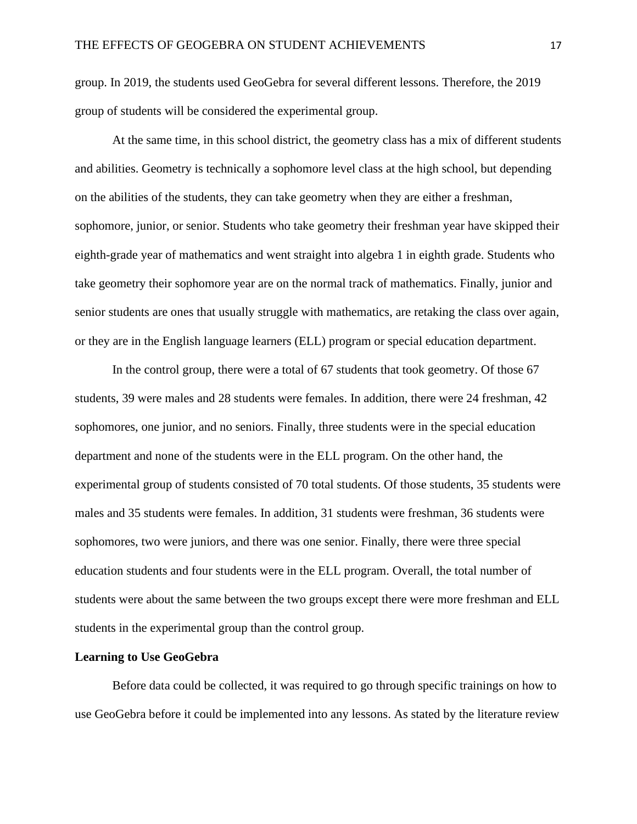group. In 2019, the students used GeoGebra for several different lessons. Therefore, the 2019 group of students will be considered the experimental group.

At the same time, in this school district, the geometry class has a mix of different students and abilities. Geometry is technically a sophomore level class at the high school, but depending on the abilities of the students, they can take geometry when they are either a freshman, sophomore, junior, or senior. Students who take geometry their freshman year have skipped their eighth-grade year of mathematics and went straight into algebra 1 in eighth grade. Students who take geometry their sophomore year are on the normal track of mathematics. Finally, junior and senior students are ones that usually struggle with mathematics, are retaking the class over again, or they are in the English language learners (ELL) program or special education department.

In the control group, there were a total of 67 students that took geometry. Of those 67 students, 39 were males and 28 students were females. In addition, there were 24 freshman, 42 sophomores, one junior, and no seniors. Finally, three students were in the special education department and none of the students were in the ELL program. On the other hand, the experimental group of students consisted of 70 total students. Of those students, 35 students were males and 35 students were females. In addition, 31 students were freshman, 36 students were sophomores, two were juniors, and there was one senior. Finally, there were three special education students and four students were in the ELL program. Overall, the total number of students were about the same between the two groups except there were more freshman and ELL students in the experimental group than the control group.

#### **Learning to Use GeoGebra**

Before data could be collected, it was required to go through specific trainings on how to use GeoGebra before it could be implemented into any lessons. As stated by the literature review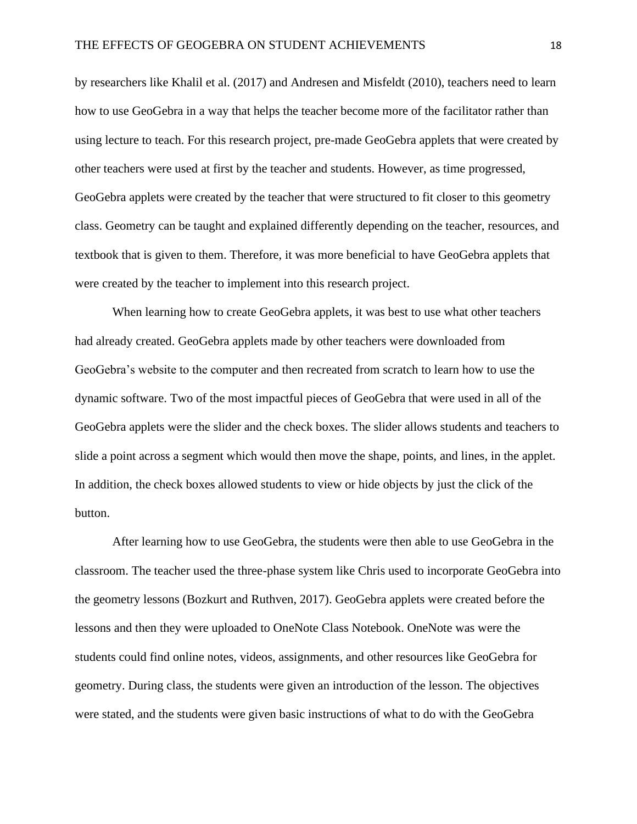by researchers like Khalil et al. (2017) and Andresen and Misfeldt (2010), teachers need to learn how to use GeoGebra in a way that helps the teacher become more of the facilitator rather than using lecture to teach. For this research project, pre-made GeoGebra applets that were created by other teachers were used at first by the teacher and students. However, as time progressed, GeoGebra applets were created by the teacher that were structured to fit closer to this geometry class. Geometry can be taught and explained differently depending on the teacher, resources, and textbook that is given to them. Therefore, it was more beneficial to have GeoGebra applets that were created by the teacher to implement into this research project.

When learning how to create GeoGebra applets, it was best to use what other teachers had already created. GeoGebra applets made by other teachers were downloaded from GeoGebra's website to the computer and then recreated from scratch to learn how to use the dynamic software. Two of the most impactful pieces of GeoGebra that were used in all of the GeoGebra applets were the slider and the check boxes. The slider allows students and teachers to slide a point across a segment which would then move the shape, points, and lines, in the applet. In addition, the check boxes allowed students to view or hide objects by just the click of the button.

After learning how to use GeoGebra, the students were then able to use GeoGebra in the classroom. The teacher used the three-phase system like Chris used to incorporate GeoGebra into the geometry lessons (Bozkurt and Ruthven, 2017). GeoGebra applets were created before the lessons and then they were uploaded to OneNote Class Notebook. OneNote was were the students could find online notes, videos, assignments, and other resources like GeoGebra for geometry. During class, the students were given an introduction of the lesson. The objectives were stated, and the students were given basic instructions of what to do with the GeoGebra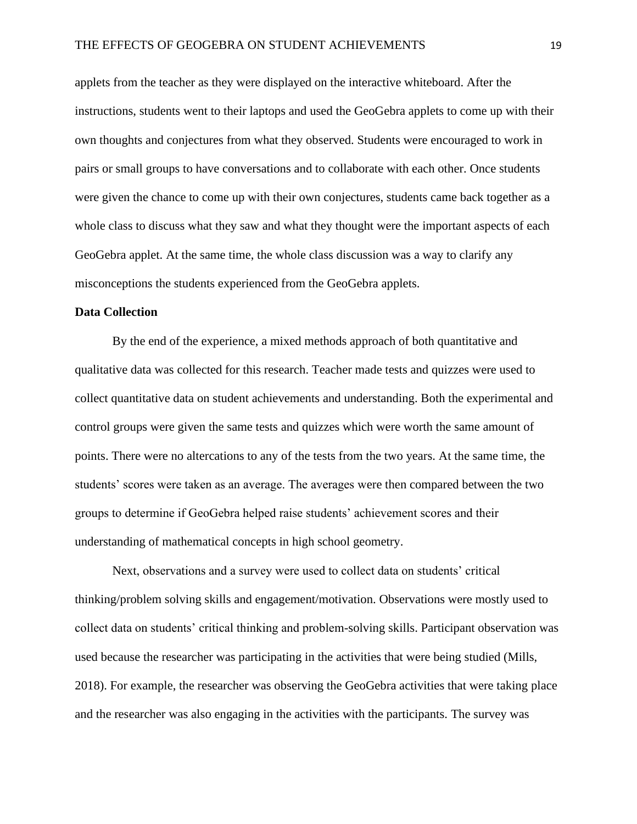applets from the teacher as they were displayed on the interactive whiteboard. After the instructions, students went to their laptops and used the GeoGebra applets to come up with their own thoughts and conjectures from what they observed. Students were encouraged to work in pairs or small groups to have conversations and to collaborate with each other. Once students were given the chance to come up with their own conjectures, students came back together as a whole class to discuss what they saw and what they thought were the important aspects of each GeoGebra applet. At the same time, the whole class discussion was a way to clarify any misconceptions the students experienced from the GeoGebra applets.

## **Data Collection**

By the end of the experience, a mixed methods approach of both quantitative and qualitative data was collected for this research. Teacher made tests and quizzes were used to collect quantitative data on student achievements and understanding. Both the experimental and control groups were given the same tests and quizzes which were worth the same amount of points. There were no altercations to any of the tests from the two years. At the same time, the students' scores were taken as an average. The averages were then compared between the two groups to determine if GeoGebra helped raise students' achievement scores and their understanding of mathematical concepts in high school geometry.

Next, observations and a survey were used to collect data on students' critical thinking/problem solving skills and engagement/motivation. Observations were mostly used to collect data on students' critical thinking and problem-solving skills. Participant observation was used because the researcher was participating in the activities that were being studied (Mills, 2018). For example, the researcher was observing the GeoGebra activities that were taking place and the researcher was also engaging in the activities with the participants. The survey was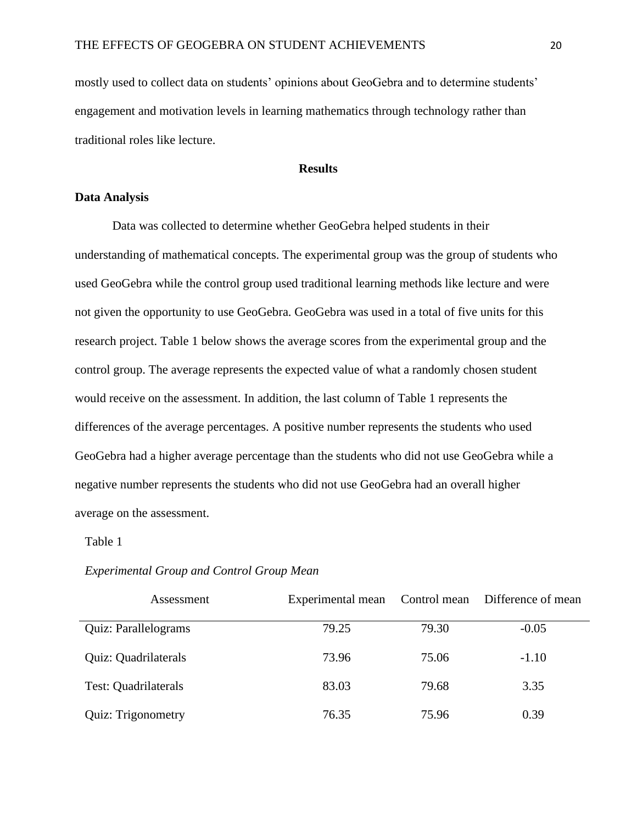mostly used to collect data on students' opinions about GeoGebra and to determine students' engagement and motivation levels in learning mathematics through technology rather than traditional roles like lecture.

## **Results**

#### **Data Analysis**

Data was collected to determine whether GeoGebra helped students in their understanding of mathematical concepts. The experimental group was the group of students who used GeoGebra while the control group used traditional learning methods like lecture and were not given the opportunity to use GeoGebra. GeoGebra was used in a total of five units for this research project. Table 1 below shows the average scores from the experimental group and the control group. The average represents the expected value of what a randomly chosen student would receive on the assessment. In addition, the last column of Table 1 represents the differences of the average percentages. A positive number represents the students who used GeoGebra had a higher average percentage than the students who did not use GeoGebra while a negative number represents the students who did not use GeoGebra had an overall higher average on the assessment.

## Table 1

| Assessment                | Experimental mean | Control mean | Difference of mean |
|---------------------------|-------------------|--------------|--------------------|
| Quiz: Parallelograms      | 79.25             | 79.30        | $-0.05$            |
| Quiz: Quadrilaterals      | 73.96             | 75.06        | $-1.10$            |
| Test: Quadrilaterals      | 83.03             | 79.68        | 3.35               |
| <b>Quiz: Trigonometry</b> | 76.35             | 75.96        | 0.39               |

#### *Experimental Group and Control Group Mean*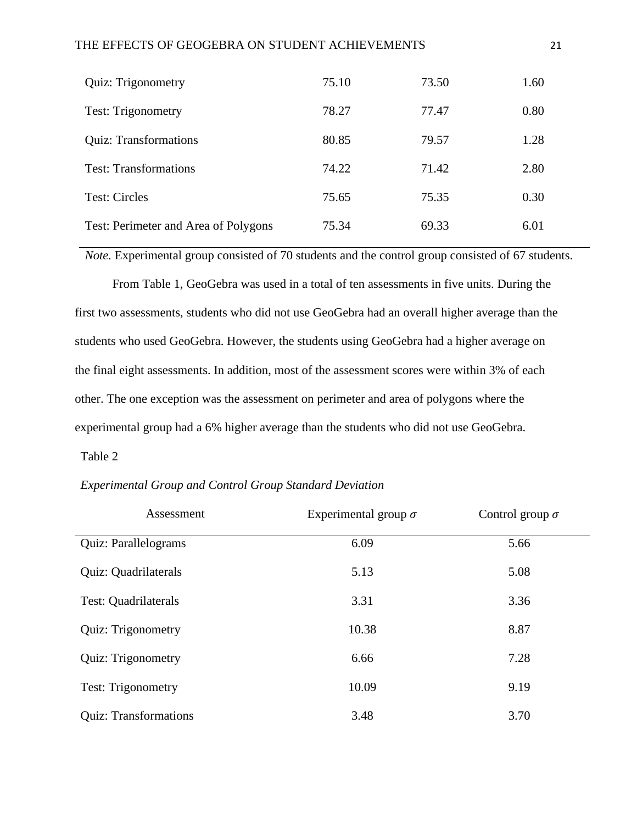## THE EFFECTS OF GEOGEBRA ON STUDENT ACHIEVEMENTS 21

| <b>Quiz: Trigonometry</b>            | 75.10 | 73.50 | 1.60 |
|--------------------------------------|-------|-------|------|
| <b>Test: Trigonometry</b>            | 78.27 | 77.47 | 0.80 |
| <b>Quiz: Transformations</b>         | 80.85 | 79.57 | 1.28 |
| <b>Test: Transformations</b>         | 74.22 | 71.42 | 2.80 |
| <b>Test: Circles</b>                 | 75.65 | 75.35 | 0.30 |
| Test: Perimeter and Area of Polygons | 75.34 | 69.33 | 6.01 |

*Note.* Experimental group consisted of 70 students and the control group consisted of 67 students.

From Table 1, GeoGebra was used in a total of ten assessments in five units. During the first two assessments, students who did not use GeoGebra had an overall higher average than the students who used GeoGebra. However, the students using GeoGebra had a higher average on the final eight assessments. In addition, most of the assessment scores were within 3% of each other. The one exception was the assessment on perimeter and area of polygons where the experimental group had a 6% higher average than the students who did not use GeoGebra.

## Table 2

| Assessment                   | Experimental group $\sigma$ | Control group $\sigma$ |
|------------------------------|-----------------------------|------------------------|
| Quiz: Parallelograms         | 6.09                        | 5.66                   |
| Quiz: Quadrilaterals         | 5.13                        | 5.08                   |
| Test: Quadrilaterals         | 3.31                        | 3.36                   |
| Quiz: Trigonometry           | 10.38                       | 8.87                   |
| Quiz: Trigonometry           | 6.66                        | 7.28                   |
| <b>Test: Trigonometry</b>    | 10.09                       | 9.19                   |
| <b>Quiz: Transformations</b> | 3.48                        | 3.70                   |

*Experimental Group and Control Group Standard Deviation*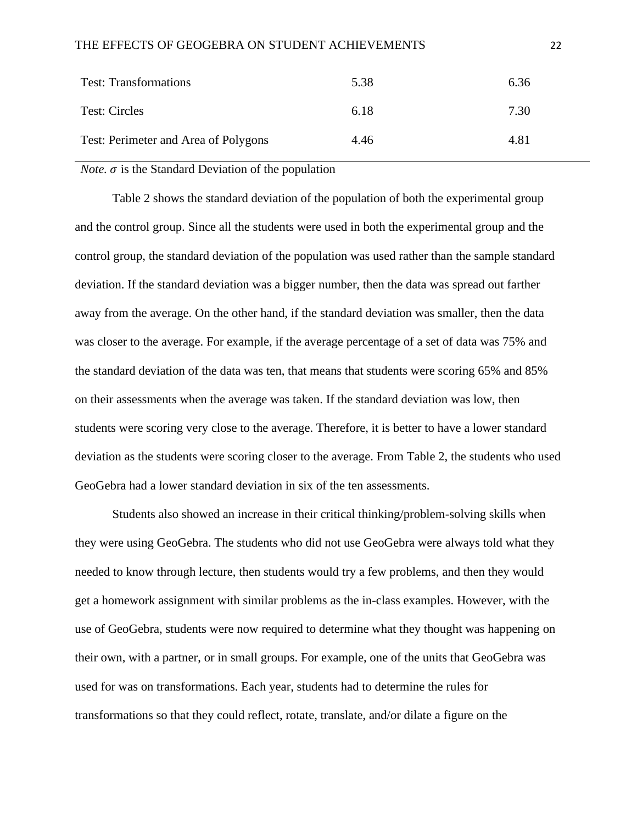| <b>Test: Transformations</b>         | 5.38 | 6.36 |
|--------------------------------------|------|------|
| Test: Circles                        | 6.18 | 7.30 |
| Test: Perimeter and Area of Polygons | 4.46 | 4.81 |

*Note.*  $\sigma$  is the Standard Deviation of the population

Table 2 shows the standard deviation of the population of both the experimental group and the control group. Since all the students were used in both the experimental group and the control group, the standard deviation of the population was used rather than the sample standard deviation. If the standard deviation was a bigger number, then the data was spread out farther away from the average. On the other hand, if the standard deviation was smaller, then the data was closer to the average. For example, if the average percentage of a set of data was 75% and the standard deviation of the data was ten, that means that students were scoring 65% and 85% on their assessments when the average was taken. If the standard deviation was low, then students were scoring very close to the average. Therefore, it is better to have a lower standard deviation as the students were scoring closer to the average. From Table 2, the students who used GeoGebra had a lower standard deviation in six of the ten assessments.

Students also showed an increase in their critical thinking/problem-solving skills when they were using GeoGebra. The students who did not use GeoGebra were always told what they needed to know through lecture, then students would try a few problems, and then they would get a homework assignment with similar problems as the in-class examples. However, with the use of GeoGebra, students were now required to determine what they thought was happening on their own, with a partner, or in small groups. For example, one of the units that GeoGebra was used for was on transformations. Each year, students had to determine the rules for transformations so that they could reflect, rotate, translate, and/or dilate a figure on the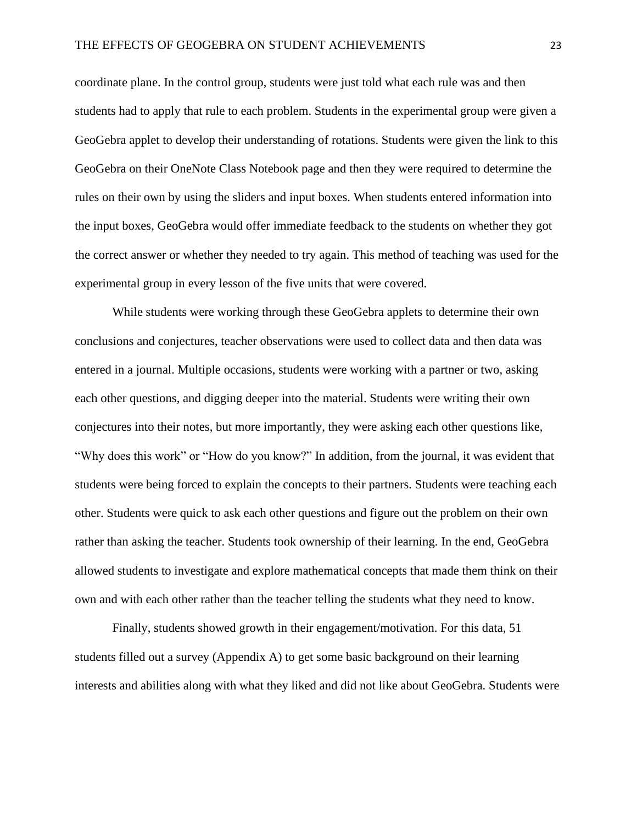coordinate plane. In the control group, students were just told what each rule was and then students had to apply that rule to each problem. Students in the experimental group were given a GeoGebra applet to develop their understanding of rotations. Students were given the link to this GeoGebra on their OneNote Class Notebook page and then they were required to determine the rules on their own by using the sliders and input boxes. When students entered information into the input boxes, GeoGebra would offer immediate feedback to the students on whether they got the correct answer or whether they needed to try again. This method of teaching was used for the experimental group in every lesson of the five units that were covered.

While students were working through these GeoGebra applets to determine their own conclusions and conjectures, teacher observations were used to collect data and then data was entered in a journal. Multiple occasions, students were working with a partner or two, asking each other questions, and digging deeper into the material. Students were writing their own conjectures into their notes, but more importantly, they were asking each other questions like, "Why does this work" or "How do you know?" In addition, from the journal, it was evident that students were being forced to explain the concepts to their partners. Students were teaching each other. Students were quick to ask each other questions and figure out the problem on their own rather than asking the teacher. Students took ownership of their learning. In the end, GeoGebra allowed students to investigate and explore mathematical concepts that made them think on their own and with each other rather than the teacher telling the students what they need to know.

Finally, students showed growth in their engagement/motivation. For this data, 51 students filled out a survey (Appendix A) to get some basic background on their learning interests and abilities along with what they liked and did not like about GeoGebra. Students were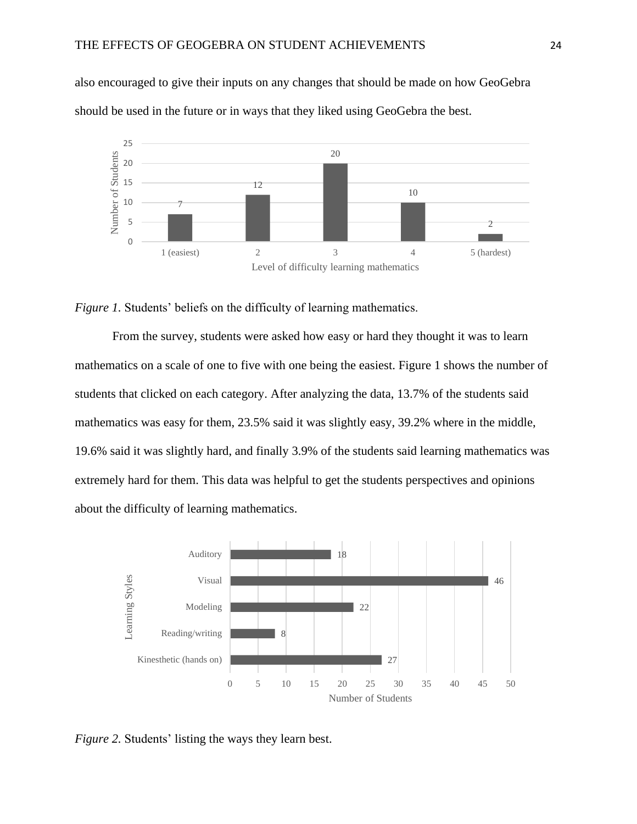also encouraged to give their inputs on any changes that should be made on how GeoGebra should be used in the future or in ways that they liked using GeoGebra the best.



*Figure 1.* Students' beliefs on the difficulty of learning mathematics.

From the survey, students were asked how easy or hard they thought it was to learn mathematics on a scale of one to five with one being the easiest. Figure 1 shows the number of students that clicked on each category. After analyzing the data, 13.7% of the students said mathematics was easy for them, 23.5% said it was slightly easy, 39.2% where in the middle, 19.6% said it was slightly hard, and finally 3.9% of the students said learning mathematics was extremely hard for them. This data was helpful to get the students perspectives and opinions about the difficulty of learning mathematics.



*Figure 2.* Students' listing the ways they learn best.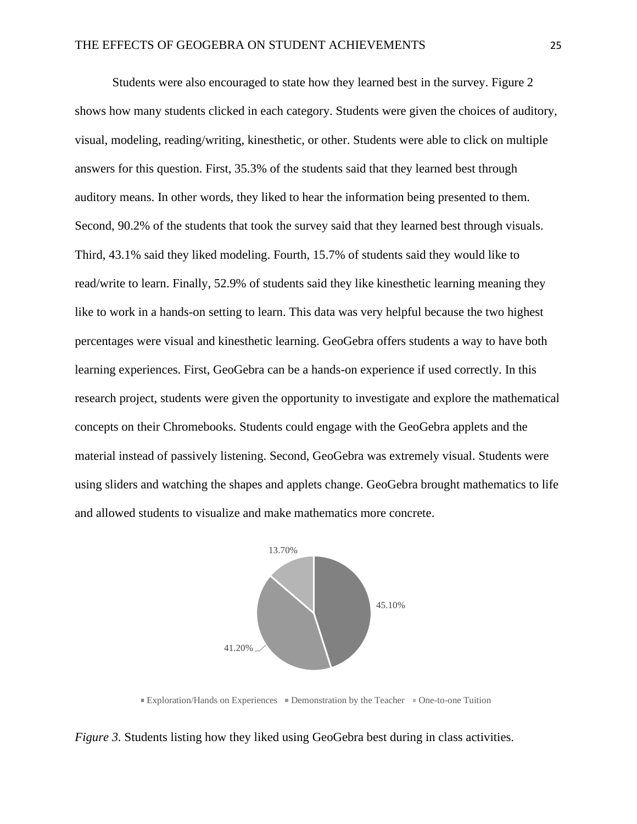Students were also encouraged to state how they learned best in the survey. Figure 2 shows how many students clicked in each category. Students were given the choices of auditory, visual, modeling, reading/writing, kinesthetic, or other. Students were able to click on multiple answers for this question. First, 35.3% of the students said that they learned best through auditory means. In other words, they liked to hear the information being presented to them. Second, 90.2% of the students that took the survey said that they learned best through visuals. Third, 43.1% said they liked modeling. Fourth, 15.7% of students said they would like to read/write to learn. Finally, 52.9% of students said they like kinesthetic learning meaning they like to work in a hands-on setting to learn. This data was very helpful because the two highest percentages were visual and kinesthetic learning. GeoGebra offers students a way to have both learning experiences. First, GeoGebra can be a hands-on experience if used correctly. In this research project, students were given the opportunity to investigate and explore the mathematical concepts on their Chromebooks. Students could engage with the GeoGebra applets and the material instead of passively listening. Second, GeoGebra was extremely visual. Students were using sliders and watching the shapes and applets change. GeoGebra brought mathematics to life and allowed students to visualize and make mathematics more concrete.



Exploration/Hands on Experiences  $\equiv$  Demonstration by the Teacher  $\equiv$  One-to-one Tuition

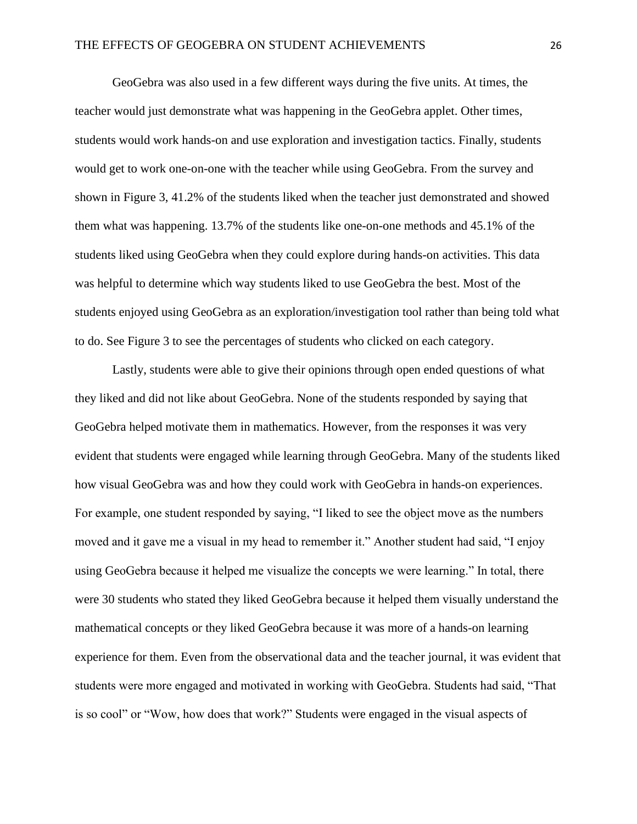GeoGebra was also used in a few different ways during the five units. At times, the teacher would just demonstrate what was happening in the GeoGebra applet. Other times, students would work hands-on and use exploration and investigation tactics. Finally, students would get to work one-on-one with the teacher while using GeoGebra. From the survey and shown in Figure 3, 41.2% of the students liked when the teacher just demonstrated and showed them what was happening. 13.7% of the students like one-on-one methods and 45.1% of the students liked using GeoGebra when they could explore during hands-on activities. This data was helpful to determine which way students liked to use GeoGebra the best. Most of the students enjoyed using GeoGebra as an exploration/investigation tool rather than being told what to do. See Figure 3 to see the percentages of students who clicked on each category.

Lastly, students were able to give their opinions through open ended questions of what they liked and did not like about GeoGebra. None of the students responded by saying that GeoGebra helped motivate them in mathematics. However, from the responses it was very evident that students were engaged while learning through GeoGebra. Many of the students liked how visual GeoGebra was and how they could work with GeoGebra in hands-on experiences. For example, one student responded by saying, "I liked to see the object move as the numbers moved and it gave me a visual in my head to remember it." Another student had said, "I enjoy using GeoGebra because it helped me visualize the concepts we were learning." In total, there were 30 students who stated they liked GeoGebra because it helped them visually understand the mathematical concepts or they liked GeoGebra because it was more of a hands-on learning experience for them. Even from the observational data and the teacher journal, it was evident that students were more engaged and motivated in working with GeoGebra. Students had said, "That is so cool" or "Wow, how does that work?" Students were engaged in the visual aspects of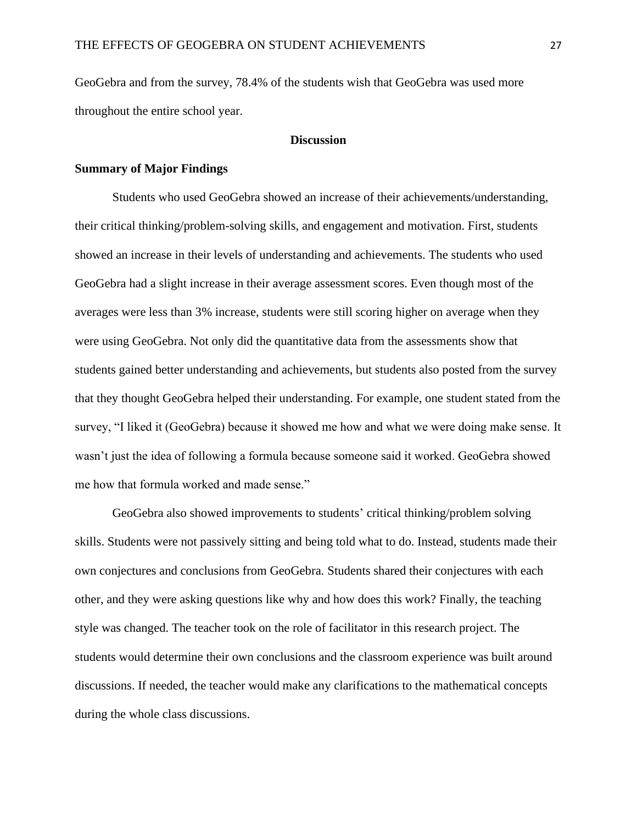GeoGebra and from the survey, 78.4% of the students wish that GeoGebra was used more throughout the entire school year.

#### **Discussion**

## **Summary of Major Findings**

Students who used GeoGebra showed an increase of their achievements/understanding, their critical thinking/problem-solving skills, and engagement and motivation. First, students showed an increase in their levels of understanding and achievements. The students who used GeoGebra had a slight increase in their average assessment scores. Even though most of the averages were less than 3% increase, students were still scoring higher on average when they were using GeoGebra. Not only did the quantitative data from the assessments show that students gained better understanding and achievements, but students also posted from the survey that they thought GeoGebra helped their understanding. For example, one student stated from the survey, "I liked it (GeoGebra) because it showed me how and what we were doing make sense. It wasn't just the idea of following a formula because someone said it worked. GeoGebra showed me how that formula worked and made sense."

GeoGebra also showed improvements to students' critical thinking/problem solving skills. Students were not passively sitting and being told what to do. Instead, students made their own conjectures and conclusions from GeoGebra. Students shared their conjectures with each other, and they were asking questions like why and how does this work? Finally, the teaching style was changed. The teacher took on the role of facilitator in this research project. The students would determine their own conclusions and the classroom experience was built around discussions. If needed, the teacher would make any clarifications to the mathematical concepts during the whole class discussions.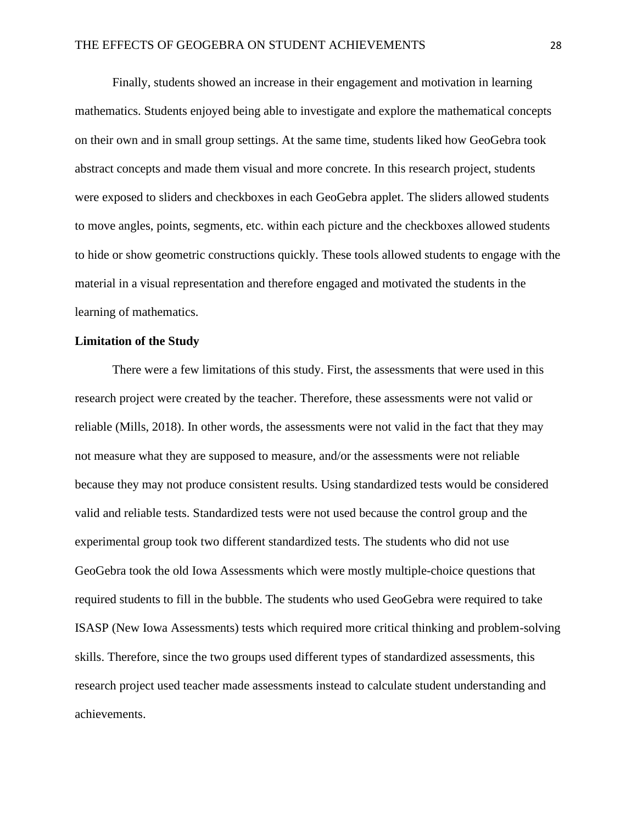Finally, students showed an increase in their engagement and motivation in learning mathematics. Students enjoyed being able to investigate and explore the mathematical concepts on their own and in small group settings. At the same time, students liked how GeoGebra took abstract concepts and made them visual and more concrete. In this research project, students were exposed to sliders and checkboxes in each GeoGebra applet. The sliders allowed students to move angles, points, segments, etc. within each picture and the checkboxes allowed students to hide or show geometric constructions quickly. These tools allowed students to engage with the material in a visual representation and therefore engaged and motivated the students in the learning of mathematics.

## **Limitation of the Study**

There were a few limitations of this study. First, the assessments that were used in this research project were created by the teacher. Therefore, these assessments were not valid or reliable (Mills, 2018). In other words, the assessments were not valid in the fact that they may not measure what they are supposed to measure, and/or the assessments were not reliable because they may not produce consistent results. Using standardized tests would be considered valid and reliable tests. Standardized tests were not used because the control group and the experimental group took two different standardized tests. The students who did not use GeoGebra took the old Iowa Assessments which were mostly multiple-choice questions that required students to fill in the bubble. The students who used GeoGebra were required to take ISASP (New Iowa Assessments) tests which required more critical thinking and problem-solving skills. Therefore, since the two groups used different types of standardized assessments, this research project used teacher made assessments instead to calculate student understanding and achievements.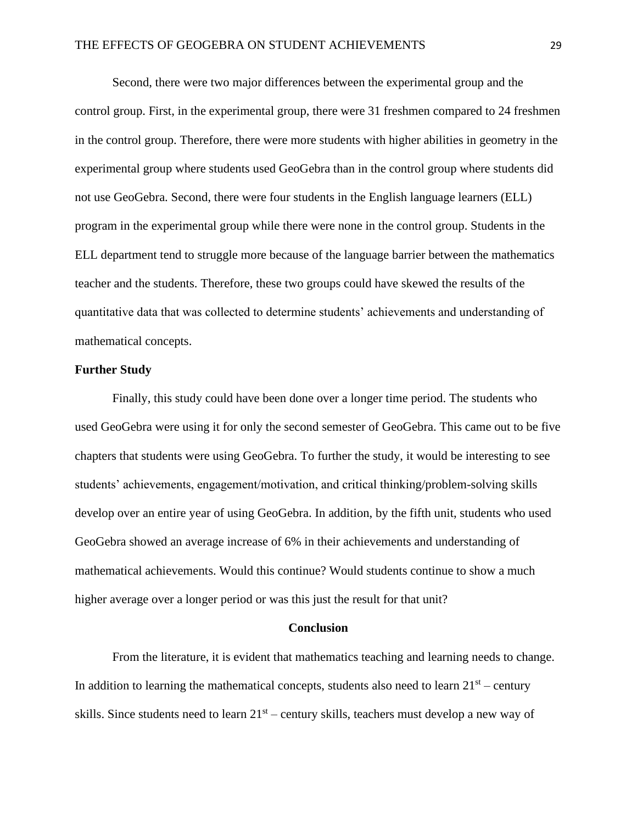Second, there were two major differences between the experimental group and the control group. First, in the experimental group, there were 31 freshmen compared to 24 freshmen in the control group. Therefore, there were more students with higher abilities in geometry in the experimental group where students used GeoGebra than in the control group where students did not use GeoGebra. Second, there were four students in the English language learners (ELL) program in the experimental group while there were none in the control group. Students in the ELL department tend to struggle more because of the language barrier between the mathematics teacher and the students. Therefore, these two groups could have skewed the results of the quantitative data that was collected to determine students' achievements and understanding of mathematical concepts.

## **Further Study**

Finally, this study could have been done over a longer time period. The students who used GeoGebra were using it for only the second semester of GeoGebra. This came out to be five chapters that students were using GeoGebra. To further the study, it would be interesting to see students' achievements, engagement/motivation, and critical thinking/problem-solving skills develop over an entire year of using GeoGebra. In addition, by the fifth unit, students who used GeoGebra showed an average increase of 6% in their achievements and understanding of mathematical achievements. Would this continue? Would students continue to show a much higher average over a longer period or was this just the result for that unit?

#### **Conclusion**

From the literature, it is evident that mathematics teaching and learning needs to change. In addition to learning the mathematical concepts, students also need to learn  $21<sup>st</sup>$  – century skills. Since students need to learn  $21<sup>st</sup>$  – century skills, teachers must develop a new way of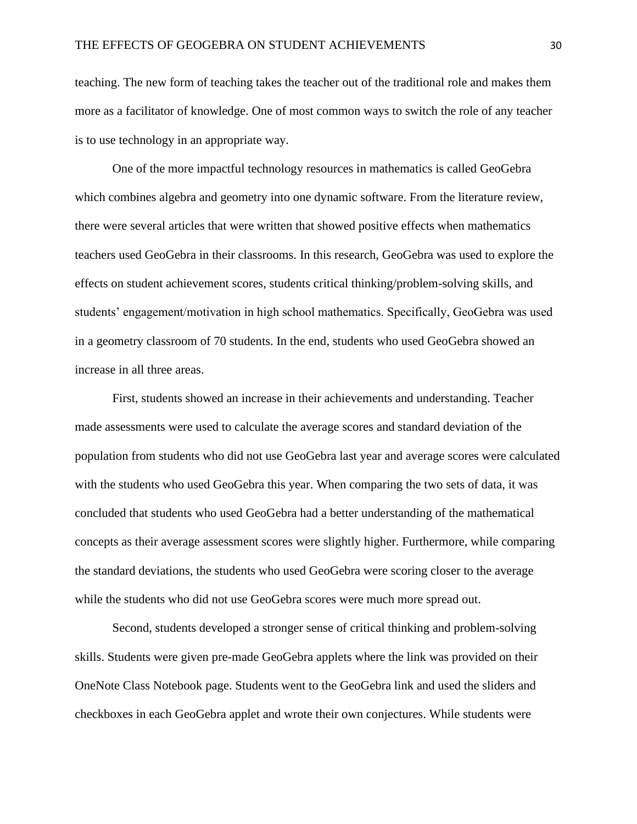teaching. The new form of teaching takes the teacher out of the traditional role and makes them more as a facilitator of knowledge. One of most common ways to switch the role of any teacher is to use technology in an appropriate way.

One of the more impactful technology resources in mathematics is called GeoGebra which combines algebra and geometry into one dynamic software. From the literature review, there were several articles that were written that showed positive effects when mathematics teachers used GeoGebra in their classrooms. In this research, GeoGebra was used to explore the effects on student achievement scores, students critical thinking/problem-solving skills, and students' engagement/motivation in high school mathematics. Specifically, GeoGebra was used in a geometry classroom of 70 students. In the end, students who used GeoGebra showed an increase in all three areas.

First, students showed an increase in their achievements and understanding. Teacher made assessments were used to calculate the average scores and standard deviation of the population from students who did not use GeoGebra last year and average scores were calculated with the students who used GeoGebra this year. When comparing the two sets of data, it was concluded that students who used GeoGebra had a better understanding of the mathematical concepts as their average assessment scores were slightly higher. Furthermore, while comparing the standard deviations, the students who used GeoGebra were scoring closer to the average while the students who did not use GeoGebra scores were much more spread out.

Second, students developed a stronger sense of critical thinking and problem-solving skills. Students were given pre-made GeoGebra applets where the link was provided on their OneNote Class Notebook page. Students went to the GeoGebra link and used the sliders and checkboxes in each GeoGebra applet and wrote their own conjectures. While students were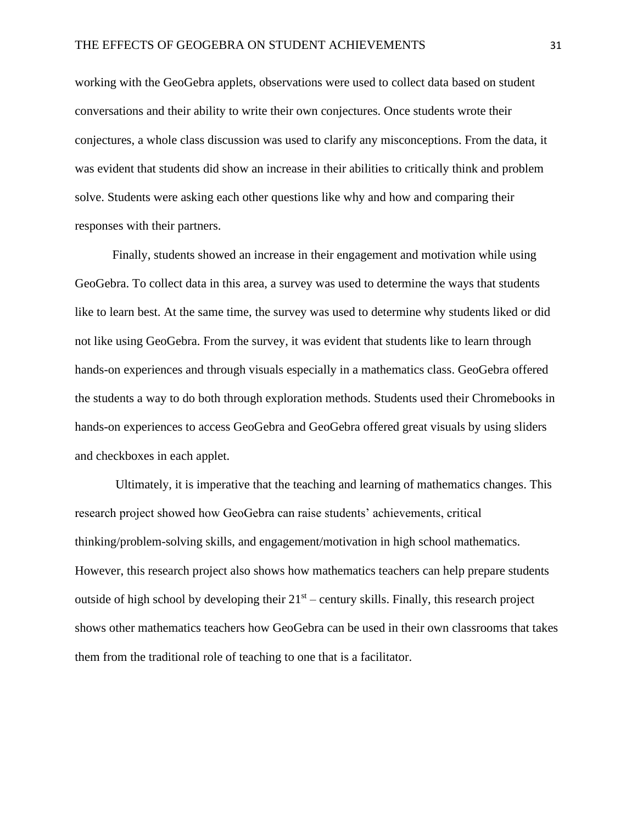working with the GeoGebra applets, observations were used to collect data based on student conversations and their ability to write their own conjectures. Once students wrote their conjectures, a whole class discussion was used to clarify any misconceptions. From the data, it was evident that students did show an increase in their abilities to critically think and problem solve. Students were asking each other questions like why and how and comparing their responses with their partners.

Finally, students showed an increase in their engagement and motivation while using GeoGebra. To collect data in this area, a survey was used to determine the ways that students like to learn best. At the same time, the survey was used to determine why students liked or did not like using GeoGebra. From the survey, it was evident that students like to learn through hands-on experiences and through visuals especially in a mathematics class. GeoGebra offered the students a way to do both through exploration methods. Students used their Chromebooks in hands-on experiences to access GeoGebra and GeoGebra offered great visuals by using sliders and checkboxes in each applet.

Ultimately, it is imperative that the teaching and learning of mathematics changes. This research project showed how GeoGebra can raise students' achievements, critical thinking/problem-solving skills, and engagement/motivation in high school mathematics. However, this research project also shows how mathematics teachers can help prepare students outside of high school by developing their  $21<sup>st</sup>$  – century skills. Finally, this research project shows other mathematics teachers how GeoGebra can be used in their own classrooms that takes them from the traditional role of teaching to one that is a facilitator.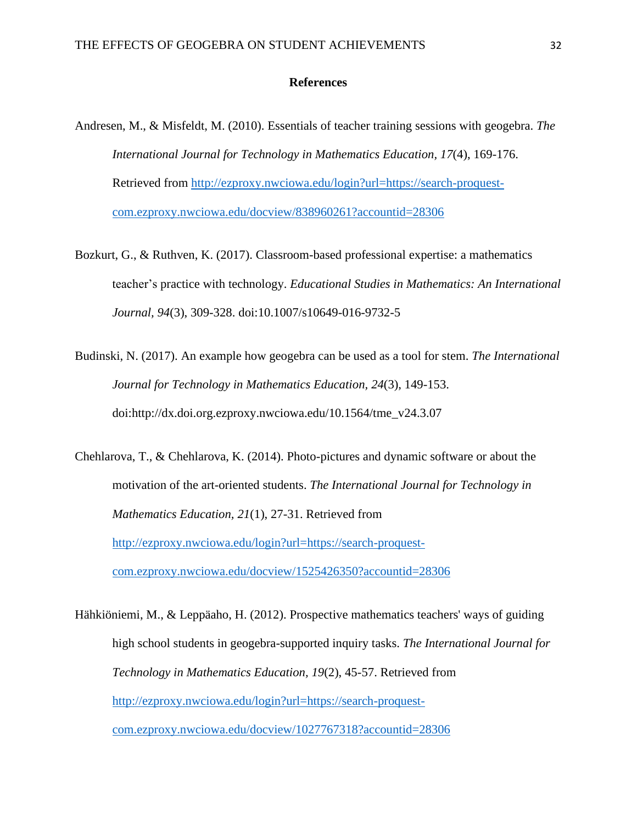### **References**

- Andresen, M., & Misfeldt, M. (2010). Essentials of teacher training sessions with geogebra. *The International Journal for Technology in Mathematics Education, 17*(4), 169-176. Retrieved from [http://ezproxy.nwciowa.edu/login?url=https://search-proquest](http://ezproxy.nwciowa.edu/login?url=https://search-proquest-com.ezproxy.nwciowa.edu/docview/838960261?accountid=28306)[com.ezproxy.nwciowa.edu/docview/838960261?accountid=28306](http://ezproxy.nwciowa.edu/login?url=https://search-proquest-com.ezproxy.nwciowa.edu/docview/838960261?accountid=28306)
- Bozkurt, G., & Ruthven, K. (2017). Classroom-based professional expertise: a mathematics teacher's practice with technology. *Educational Studies in Mathematics: An International Journal, 94*(3), 309-328. doi:10.1007/s10649-016-9732-5
- Budinski, N. (2017). An example how geogebra can be used as a tool for stem. *The International Journal for Technology in Mathematics Education, 24*(3), 149-153. doi:http://dx.doi.org.ezproxy.nwciowa.edu/10.1564/tme\_v24.3.07
- Chehlarova, T., & Chehlarova, K. (2014). Photo-pictures and dynamic software or about the motivation of the art-oriented students. *The International Journal for Technology in Mathematics Education, 21*(1), 27-31. Retrieved from [http://ezproxy.nwciowa.edu/login?url=https://search-proquest](http://ezproxy.nwciowa.edu/login?url=https://search-proquest-com.ezproxy.nwciowa.edu/docview/1525426350?accountid=28306)[com.ezproxy.nwciowa.edu/docview/1525426350?accountid=28306](http://ezproxy.nwciowa.edu/login?url=https://search-proquest-com.ezproxy.nwciowa.edu/docview/1525426350?accountid=28306)
- Hähkiöniemi, M., & Leppäaho, H. (2012). Prospective mathematics teachers' ways of guiding high school students in geogebra-supported inquiry tasks. *The International Journal for Technology in Mathematics Education, 19*(2), 45-57. Retrieved from [http://ezproxy.nwciowa.edu/login?url=https://search-proquest](http://ezproxy.nwciowa.edu/login?url=https://search-proquest-com.ezproxy.nwciowa.edu/docview/1027767318?accountid=28306)[com.ezproxy.nwciowa.edu/docview/1027767318?accountid=28306](http://ezproxy.nwciowa.edu/login?url=https://search-proquest-com.ezproxy.nwciowa.edu/docview/1027767318?accountid=28306)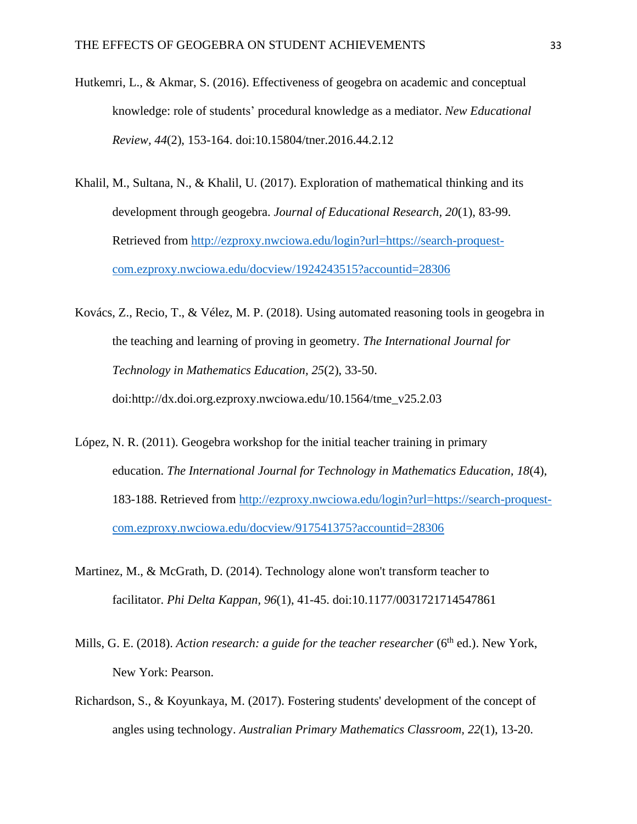- Hutkemri, L., & Akmar, S. (2016). Effectiveness of geogebra on academic and conceptual knowledge: role of students' procedural knowledge as a mediator. *New Educational Review, 44*(2), 153-164. doi:10.15804/tner.2016.44.2.12
- Khalil, M., Sultana, N., & Khalil, U. (2017). Exploration of mathematical thinking and its development through geogebra. *Journal of Educational Research, 20*(1), 83-99. Retrieved from [http://ezproxy.nwciowa.edu/login?url=https://search-proquest](http://ezproxy.nwciowa.edu/login?url=https://search-proquest-com.ezproxy.nwciowa.edu/docview/1924243515?accountid=28306)[com.ezproxy.nwciowa.edu/docview/1924243515?accountid=28306](http://ezproxy.nwciowa.edu/login?url=https://search-proquest-com.ezproxy.nwciowa.edu/docview/1924243515?accountid=28306)
- Kovács, Z., Recio, T., & Vélez, M. P. (2018). Using automated reasoning tools in geogebra in the teaching and learning of proving in geometry. *The International Journal for Technology in Mathematics Education, 25*(2), 33-50. doi:http://dx.doi.org.ezproxy.nwciowa.edu/10.1564/tme\_v25.2.03
- López, N. R. (2011). Geogebra workshop for the initial teacher training in primary education. *The International Journal for Technology in Mathematics Education, 18*(4), 183-188. Retrieved from [http://ezproxy.nwciowa.edu/login?url=https://search-proquest](http://ezproxy.nwciowa.edu/login?url=https://search-proquest-com.ezproxy.nwciowa.edu/docview/917541375?accountid=28306)[com.ezproxy.nwciowa.edu/docview/917541375?accountid=28306](http://ezproxy.nwciowa.edu/login?url=https://search-proquest-com.ezproxy.nwciowa.edu/docview/917541375?accountid=28306)
- Martinez, M., & McGrath, D. (2014). Technology alone won't transform teacher to facilitator. *Phi Delta Kappan, 96*(1), 41-45. doi:10.1177/0031721714547861
- Mills, G. E. (2018). *Action research: a guide for the teacher researcher* (6<sup>th</sup> ed.). New York, New York: Pearson.
- Richardson, S., & Koyunkaya, M. (2017). Fostering students' development of the concept of angles using technology. *Australian Primary Mathematics Classroom, 22*(1), 13-20.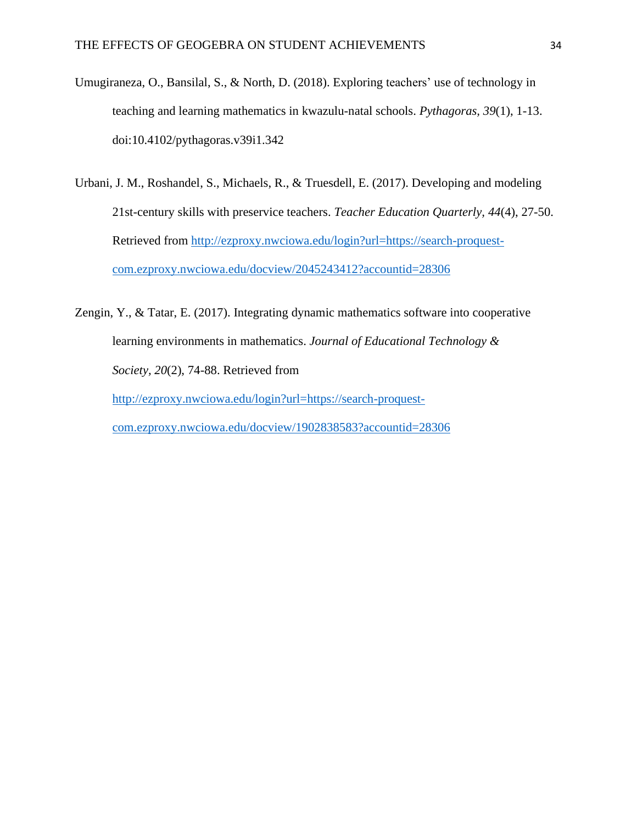- Umugiraneza, O., Bansilal, S., & North, D. (2018). Exploring teachers' use of technology in teaching and learning mathematics in kwazulu-natal schools. *Pythagoras, 39*(1), 1-13. doi:10.4102/pythagoras.v39i1.342
- Urbani, J. M., Roshandel, S., Michaels, R., & Truesdell, E. (2017). Developing and modeling 21st-century skills with preservice teachers. *Teacher Education Quarterly, 44*(4), 27-50. Retrieved from [http://ezproxy.nwciowa.edu/login?url=https://search-proquest](http://ezproxy.nwciowa.edu/login?url=https://search-proquest-com.ezproxy.nwciowa.edu/docview/2045243412?accountid=28306)[com.ezproxy.nwciowa.edu/docview/2045243412?accountid=28306](http://ezproxy.nwciowa.edu/login?url=https://search-proquest-com.ezproxy.nwciowa.edu/docview/2045243412?accountid=28306)
- Zengin, Y., & Tatar, E. (2017). Integrating dynamic mathematics software into cooperative learning environments in mathematics. *Journal of Educational Technology & Society, 20*(2), 74-88. Retrieved from [http://ezproxy.nwciowa.edu/login?url=https://search-proquest-](http://ezproxy.nwciowa.edu/login?url=https://search-proquest-com.ezproxy.nwciowa.edu/docview/1902838583?accountid=28306)

[com.ezproxy.nwciowa.edu/docview/1902838583?accountid=28306](http://ezproxy.nwciowa.edu/login?url=https://search-proquest-com.ezproxy.nwciowa.edu/docview/1902838583?accountid=28306)